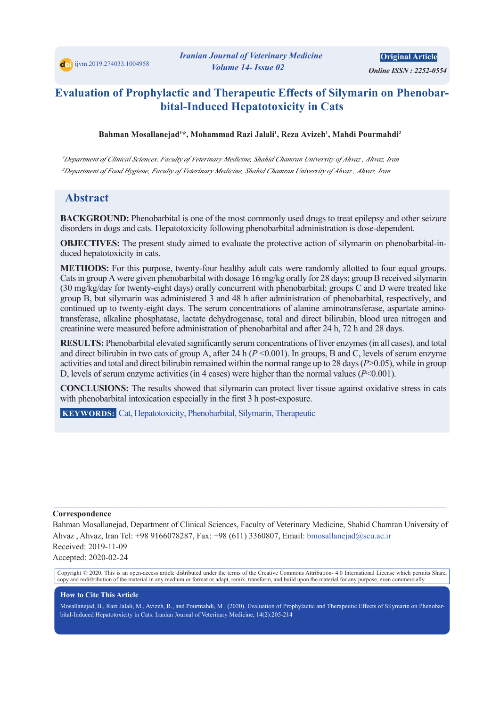# **Evaluation of Prophylactic and Therapeutic Effects of Silymarin on Phenobar-<br>
bital-Induced Hepatotoxicity in Cats**

#### Bahman Mosallanejad<sup>1\*</sup>, Mohammad Razi Jalali<sup>1</sup>, Reza Avizeh<sup>1</sup>, Mahdi Pourmahdi<sup>2</sup>

<sup>*I*</sup> Department of Clinical Sciences, Faculty of Veterinary Medicine, Shahid Chamran University of Ahvaz, Ahvaz, Iran <sup>2</sup>Department of Food Hygiene, Faculty of Veterinary Medicine, Shahid Chamran University of Ahvaz, Ahvaz, Iran

## **Abstract**

**BACKGROUND:** Phenobarbital is one of the most commonly used drugs to treat epilepsy and other seizure disorders in dogs and cats. Hepatotoxicity following phenobarbital administration is dose-dependent.

**OBJECTIVES:** The present study aimed to evaluate the protective action of silymarin on phenobarbital-induced hepatotoxicity in cats.

**METHODS:** For this purpose, twenty-four healthy adult cats were randomly allotted to four equal groups. Cats in group A were given phenobarbital with dosage 16 mg/kg orally for 28 days; group B received silymarin (30 mg/kg/day for twenty-eight days) orally concurrent with phenobarbital; groups C and D were treated like group B, but silymarin was administered 3 and 48 h after administration of phenobarbital, respectively, and transferase, alkaline phosphatase, lactate dehydrogenase, total and direct bilirubin, blood urea nitrogen and continued up to twenty-eight days. The serum concentrations of alanine aminotransferase, aspartate aminocreatinine were measured before administration of phenobarbital and after 24 h, 72 h and 28 days.

RESULTS: Phenobarbital elevated significantly serum concentrations of liver enzymes (in all cases), and total and direct bilirubin in two cats of group A, after 24 h  $(P \le 0.001)$ . In groups, B and C, levels of serum enzyme activities and total and direct bilirubin remained within the normal range up to 28 days  $(P>0.05)$ , while in group D, levels of serum enzyme activities (in 4 cases) were higher than the normal values  $(P<0.001)$ .

**CONCLUSIONS:** The results showed that silymarin can protect liver tissue against oxidative stress in cats with phenobarbital intoxication especially in the first 3 h post-exposure.

**KEYWORDS:** Cat, Hepatotoxicity, Phenobarbital, Silymarin, Therapeutic

#### **Correspondence**

Bahman Mosallanejad, Department of Clinical Sciences, Faculty of Veterinary Medicine, Shahid Chamran University of Ahvaz, Ahvaz, Iran Tel: +98 9166078287, Fax: +98 (611) 3360807, Email: bmosallanejad@scu.ac.ir Received: 2019-11-09 Accepted: 2020-02-24

 $\_$  , and the state of the state of the state of the state of the state of the state of the state of the state of the state of the state of the state of the state of the state of the state of the state of the state of the

Copyright © 2020. This is an open-access article distributed under the terms of the Creative Commons Attribution-4.0 International License which permits Share, copy and redistribution of the material in any medium or format or adapt, remix, transform, and build upon the material for any purpose, even commercially.

#### **How to Cite This Article**

Mosallanejad, B., Razi Jalali, M., Avizeh, R., and Pourmahdi, M . (2020). Evaluation of Prophylactic and Therapeutic Effects of Silymarin on Phenobar-<br>bital-Induced Hepatotoxicity in Cats. Iranian Journal of Veterinary Med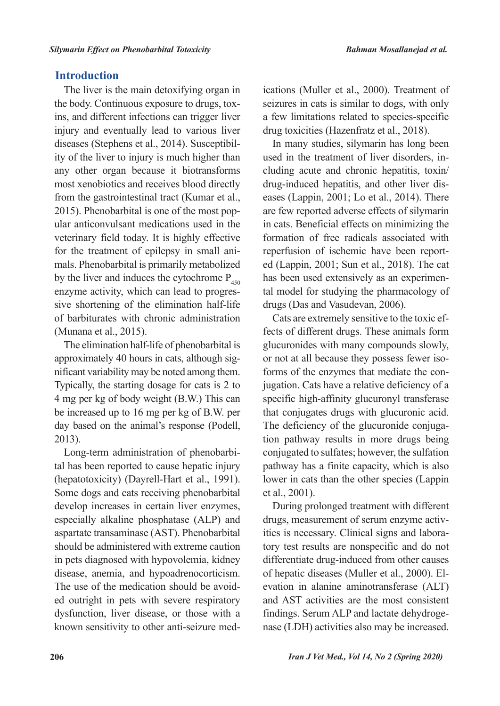# **Introduction**

The liver is the main detoxifying organ in ins, and different infections can trigger liver the body. Continuous exposure to drugs, toxinjury and eventually lead to various liver ity of the liver to injury is much higher than diseases (Stephens et al., 2014). Susceptibilany other organ because it biotransforms most xenobiotics and receives blood directly from the gastrointestinal tract (Kumar et al., 2015). Phenobarbital is one of the most pop-<br>ular-anticonvulsant medications used in the veterinary field today. It is highly effective mals. Phenobarbital is primarily metabolized for the treatment of epilepsy in small aniby the liver and induces the cytochrome  $P_{450}$ enzyme activity, which can lead to progressive shortening of the elimination half-life of barbiturates with chronic administration (Munana et al.,  $2015$ ).

The elimination half-life of phenobarbital is nificant variability may be noted among them. approximately 40 hours in cats, although sig-Typically, the starting dosage for cats is  $2$  to 4 mg per kg of body weight (B.W.) This can be increased up to 16 mg per kg of B.W. per day based on the animal's response (Podell, 2013).

tal has been reported to cause hepatic injury Long-term administration of phenobarbi-(hepatotoxicity) (Dayrell-Hart et al., 1991). Some dogs and cats receiving phenobarbital develop increases in certain liver enzymes, especially alkaline phosphatase (ALP) and aspartate transaminase (AST). Phenobarbital should be administered with extreme caution in pets diagnosed with hypovolemia, kidney disease, anemia, and hypoadrenocorticism. ed outright in pets with severe respiratory The use of the medication should be avoiddysfunction, liver disease, or those with a known sensitivity to other anti-seizure med-

ications (Muller et al., 2000). Treatment of seizures in cats is similar to dogs, with only a few limitations related to species-specific drug toxicities (Hazenfratz et al., 2018).

In many studies, silymarin has long been cluding acute and chronic hepatitis, toxin/ used in the treatment of liver disorders, ineases (Lappin,  $2001$ ; Lo et al.,  $2014$ ). There drug-induced hepatitis, and other liver disare few reported adverse effects of silymarin in cats. Beneficial effects on minimizing the formation of free radicals associated with ed (Lappin, 2001; Sun et al., 2018). The cat reperfusion of ischemic have been reporttal model for studying the pharmacology of has been used extensively as an experimendrugs (Das and Vasudevan, 2006).

fects of different drugs. These animals form Cats are extremely sensitive to the toxic efglucuronides with many compounds slowly, jugation. Cats have a relative deficiency of a forms of the enzymes that mediate the conor not at all because they possess fewer isospecific high-affinity glucuronyl transferase that conjugates drugs with glucuronic acid. tion pathway results in more drugs being The deficiency of the glucuronide conjugaconjugated to sulfates; however, the sulfation pathway has a finite capacity, which is also lower in cats than the other species (Lappin et al., 2001).

During prolonged treatment with different tory test results are nonspecific and do not ities is necessary. Clinical signs and laboradrugs, measurement of serum enzyme activdifferentiate drug-induced from other causes evation in alanine aminotransferase (ALT) of hepatic diseases (Muller et al., 2000). Eland AST activities are the most consistent nase (LDH) activities also may be increased. findings. Serum ALP and lactate dehydroge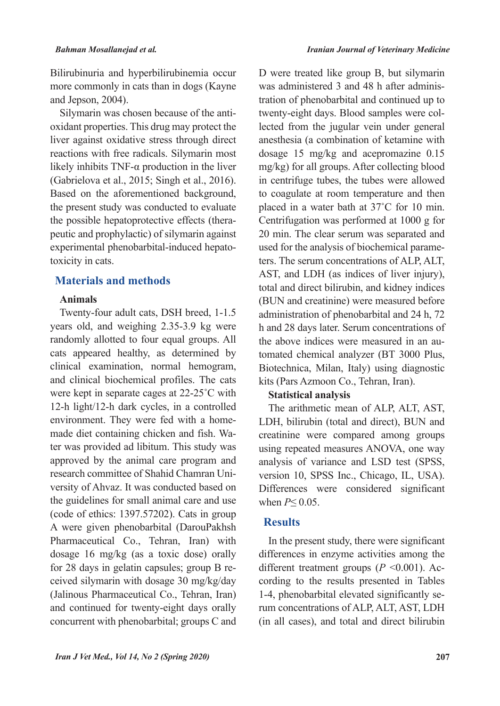Bilirubinuria and hyperbilirubinemia occur more commonly in cats than in dogs (Kayne and Jepson, 2004).

oxidant properties. This drug may protect the Silymarin was chosen because of the antiliver against oxidative stress through direct reactions with free radicals. Silymarin most likely inhibits TNF- $\alpha$  production in the liver (Gabrielova et al., 2015; Singh et al., 2016). Based on the aforementioned background, the present study was conducted to evaluate peutic and prophylactic) of silymarin against the possible hepatoprotective effects (theraexperimental phenobarbital-induced hepato-<br>toxicity in cats.

# **Materials and methods**

### **Animals**

Twenty-four adult cats, DSH breed, 1-1.5 years old, and weighing 2.35-3.9 kg were randomly allotted to four equal groups. All cats appeared healthy, as determined by clinical examination, normal hemogram, and clinical biochemical profiles. The cats were kept in separate cages at  $22-25$ °C with 12-h light/12-h dark cycles, in a controlled ter was provided ad libitum. This study was made diet containing chicken and fish. Waenvironment. They were fed with a homeapproved by the animal care program and versity of Ahvaz. It was conducted based on research committee of Shahid Chamran Unithe guidelines for small animal care and use (code of ethics:  $1397.57202$ ). Cats in group A were given phenobarbital (DarouPakhsh Pharmaceutical Co., Tehran, Iran) with dosage  $16 \text{ mg/kg}$  (as a toxic dose) orally ceived silymarin with dosage 30 mg/kg/day for 28 days in gelatin capsules; group  $B$  re-(Jalinous Pharmaceutical Co., Tehran, Iran) and continued for twenty-eight days orally concurrent with phenobarbital; groups C and

D were treated like group B, but silymarin tration of phenobarbital and continued up to was administered 3 and 48 h after adminislected from the jugular vein under general twenty-eight days. Blood samples were colanesthesia (a combination of ketamine with dosage  $15 \text{ mg/kg}$  and acepromazine  $0.15$ mg/kg) for all groups. After collecting blood in centrifuge tubes, the tubes were allowed to coagulate at room temperature and then placed in a water bath at  $37^{\circ}$ C for 10 min. Centrifugation was performed at  $1000 \text{ g}$  for 20 min. The clear serum was separated and ters. The serum concentrations of ALP, ALT, used for the analysis of biochemical parame-AST, and LDH (as indices of liver injury), total and direct bilirubin, and kidney indices (BUN and creatinine) were measured before administration of phenobarbital and 24 h, 72 h and 28 days later. Serum concentrations of tomated chemical analyzer (BT 3000 Plus, the above indices were measured in an au-Biotechnica, Milan, Italy) using diagnostic kits (Pars Azmoon Co., Tehran, Iran).

## **Statistical analysis**

The arithmetic mean of ALP, ALT, AST, LDH, bilirubin (total and direct), BUN and creatinine were compared among groups using repeated measures ANOVA, one way analysis of variance and LSD test (SPSS, version 10, SPSS Inc., Chicago, IL, USA). Differences were considered significant when  $P$  < 0.05.

# **Results**

In the present study, there were significant differences in enzyme activities among the cording to the results presented in Tables different treatment groups  $(P \le 0.001)$ . Acrum concentrations of ALP, ALT, AST, LDH 1-4, phenobarbital elevated significantly se-(in all cases), and total and direct bilirubin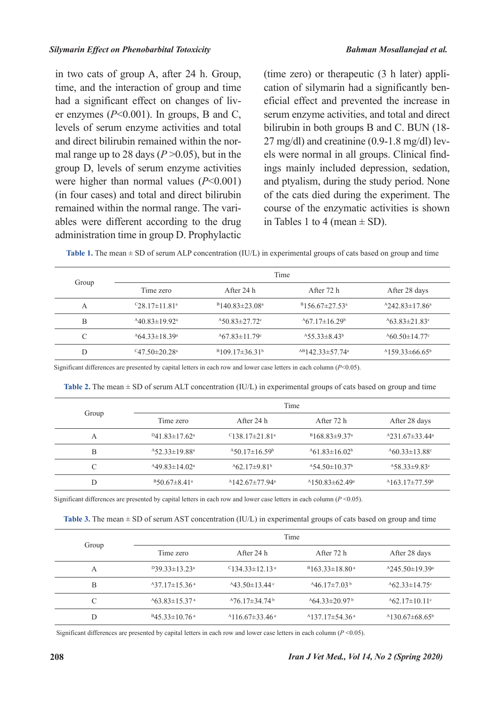in two cats of group A, after 24 h. Group, time, and the interaction of group and time er enzymes  $(P<0.001)$ . In groups, B and C, had a significant effect on changes of livlevels of serum enzyme activities and total mal range up to 28 days  $(P > 0.05)$ , but in the and direct bilirubin remained within the norgroup D, levels of serum enzyme activities were higher than normal values  $(P<0.001)$ (in four cases) and total and direct bilirubin ables were different according to the drug remained within the normal range. The variadministration time in group D. Prophylactic

eficial effect and prevented the increase in cation of silymarin had a significantly ben-(time zero) or therapeutic  $(3 h$  later) appliserum enzyme activities, and total and direct bilirubin in both groups B and C. BUN (18ings mainly included depression, sedation, els were normal in all groups. Clinical find- $27 \text{ mg/dl}$ ) and creatinine (0.9-1.8 mg/dl) levand ptyalism, during the study period. None of the cats died during the experiment. The course of the enzymatic activities is shown in Tables 1 to 4 (mean  $\pm$  SD).

Table 1. The mean  $\pm$  SD of serum ALP concentration (IU/L) in experimental groups of cats based on group and time

| Group | Time                             |                               |                                    |                                |
|-------|----------------------------------|-------------------------------|------------------------------------|--------------------------------|
|       | Time zero                        | After 24 h                    | After 72 h                         | After 28 days                  |
| A     | $C28.17 \pm 11.81$ <sup>a</sup>  | $B140.83\pm 23.08^{\text{a}}$ | $B156.67 \pm 27.53$ <sup>a</sup>   | $^{A}242.83 \pm 17.86^{\circ}$ |
| B     | $^{A}40.83\pm19.92^{\text{a}}$   | $^{A}50.83 \pm 27.72$ °       | $^{A}67.17 \pm 16.29$ <sup>b</sup> | $^{4}63.83\pm21.83^{\circ}$    |
| C     | $^{A}64.33\pm18.39^{a}$          | $^{4}67.83 \pm 11.79$ °       | $^{A}55.33\pm8.43^b$               | $^{A}60.50 \pm 14.77$ °        |
| D     | $C_{47.50 \pm 20.28^{\text{a}}}$ | $B109.17 \pm 36.31^b$         | $^{AB}142.33\pm57.74^a$            | $^{A}159.33\pm 66.65^{\circ}$  |

Significant differences are presented by capital letters in each row and lower case letters in each column  $(P<0.05)$ .

Table 2. The mean  $\pm$  SD of serum ALT concentration (IU/L) in experimental groups of cats based on group and time

|       | Time                            |                                   |                                   |                              |
|-------|---------------------------------|-----------------------------------|-----------------------------------|------------------------------|
| Group | Time zero                       | After 24 h                        | After 72 h                        | After 28 days                |
| A     | $P41.83 \pm 17.62$ <sup>a</sup> | $C138.17\pm21.81$ <sup>a</sup>    | $B168.83 \pm 9.37$ <sup>a</sup>   | $^{A}231.67\pm33.44^{\circ}$ |
| B     | $^{A}52.33\pm19.88^{a}$         | $^{A}50.17\pm16.59^{\circ}$       | $^{4}61.83\pm16.02^b$             | $^{A}60.33\pm13.88$ °        |
|       | $^{A}49.83\pm14.02^{a}$         | $^{A}62.17\pm9.81^{b}$            | $^{A}54.50\pm10.37^{\rm b}$       | $^{A}58.33\pm9.83^{\circ}$   |
| D     | $B50.67\pm8.41$ <sup>a</sup>    | $^{A}142.67\pm77.94$ <sup>a</sup> | $^{A}150.83\pm62.49^{\mathrm{a}}$ | $^{A}163.17\pm77.59^{\circ}$ |

Significant differences are presented by capital letters in each row and lower case letters in each column  $(P < 0.05)$ .

| Table 3. The mean $\pm$ SD of serum AST concentration (IU/L) in experimental groups of cats based on group and time |  |  |
|---------------------------------------------------------------------------------------------------------------------|--|--|
|---------------------------------------------------------------------------------------------------------------------|--|--|

|       | Time                             |                                  |                                   |                              |
|-------|----------------------------------|----------------------------------|-----------------------------------|------------------------------|
| Group | Time zero                        | After 24 h                       | After 72 h                        | After 28 days                |
| А     | $D39.33 \pm 13.23^a$             | $C134.33 \pm 12.13$ <sup>a</sup> | $B163.33\pm18.80$ <sup>a</sup>    | $^{A}245.50\pm19.39^{a}$     |
| B     | $^{A}37.17\pm15.36$ <sup>a</sup> | $^{A}43.50\pm13.44$ °            | $^{A}46.17\pm7.03^{b}$            | $^{4}62.33\pm14.75^{\circ}$  |
| C     | $^{A}63.83\pm15.37^{a}$          | $^{A}76.17\pm34.74^{\mathrm{b}}$ | $^{A}64.33\pm20.97^{\mathrm{b}}$  | $^{4}62.17\pm10.11$ °        |
| D     | $B45.33 \pm 10.76$ <sup>a</sup>  | $^{4}116.67\pm33.46^{\text{ a}}$ | $^{4}137.17\pm54.36$ <sup>a</sup> | $^{A}130.67\pm68.65^{\circ}$ |

Significant differences are presented by capital letters in each row and lower case letters in each column  $(P < 0.05)$ .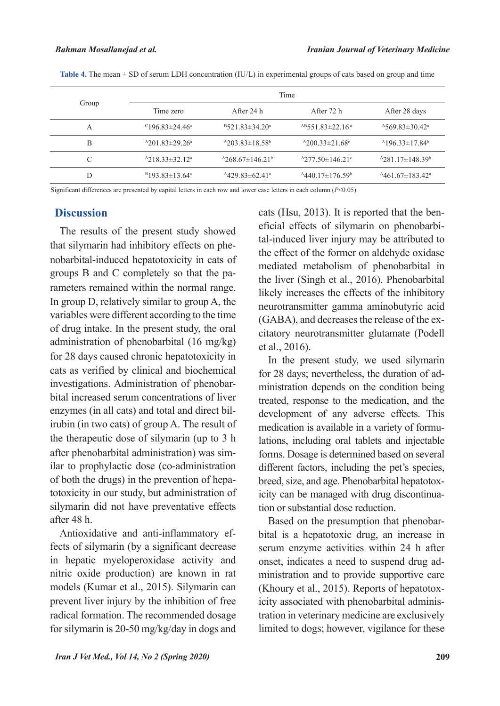|       | Time                                         |                                     |                                      |                                      |
|-------|----------------------------------------------|-------------------------------------|--------------------------------------|--------------------------------------|
| Group | Time zero                                    | After 24 h                          | After 72 h                           | After 28 days                        |
| А     | <sup>C</sup> 196.83 $\pm$ 24.46 <sup>a</sup> | $B$ 521.83 $\pm$ 34.20 <sup>a</sup> | $AB$ 551.83±22.16 <sup>a</sup>       | $^{A}$ 569.83±30.42 <sup>a</sup>     |
| Β     | $^{A}201.83\pm29.26^{a}$                     | $^{A}203.83\pm18.58^{b}$            | $^{A}200.33\pm21.68$ °               | $^{A}196.33\pm17.84^b$               |
| C     | $^{4}218.33\pm32.12^{a}$                     | $^{4268.67\pm146.21^b}$             | $^{4}277.50 \pm 146.21$ °            | $^{4}281.17\pm148.39^b$              |
| D     | $B193.83 \pm 13.64$ <sup>a</sup>             | $^{A}429.83\pm62.41^{\circ}$        | $^{4}440.17 \pm 176.59$ <sup>b</sup> | $^{4}461.67 \pm 183.42$ <sup>a</sup> |

Table 4. The mean  $\pm$  SD of serum LDH concentration (IU/L) in experimental groups of cats based on group and time

Significant differences are presented by capital letters in each row and lower case letters in each column  $(P<0.05)$ .

## **Discussion**

The results of the present study showed nobarbital-induced hepatotoxicity in cats of that silymarin had inhibitory effects on pherameters remained within the normal range. groups B and C completely so that the pa-In group  $D$ , relatively similar to group A, the variables were different according to the time of drug intake. In the present study, the oral administration of phenobarbital  $(16 \text{ mg/kg})$ for 28 days caused chronic hepatotoxicity in cats as verified by clinical and biochemical bital increased serum concentrations of liver investigations. Administration of phenobarirubin (in two cats) of group A. The result of enzymes (in all cats) and total and direct bilthe therapeutic dose of silymarin (up to  $3<sub>h</sub>$ ) ilar to prophylactic dose (co-administration after phenobarbital administration) was simtotoxicity in our study, but administration of of both the drugs) in the prevention of hepasilymarin did not have preventative effects after 48 h.

fects of silymarin (by a significant decrease Antioxidative and anti-inflammatory efin hepatic myeloperoxidase activity and nitric oxide production) are known in rat models (Kumar et al., 2015). Silymarin can prevent liver injury by the inhibition of free radical formation. The recommended dosage for silymarin is 20-50 mg/kg/day in dogs and tal-induced liver injury may be attributed to eficial effects of silymarin on phenobarbicats (Hsu, 2013). It is reported that the benthe effect of the former on aldehyde oxidase mediated metabolism of phenobarbital in the liver (Singh et al.,  $2016$ ). Phenobarbital likely increases the effects of the inhibitory neurotransmitter gamma aminobutyric acid citatory neurotransmitter glutamate (Podell  $(GABA)$ , and decreases the release of the exet al., 2016).

In the present study, we used silymarin ministration depends on the condition being for 28 days; nevertheless, the duration of adtreated, response to the medication, and the development of any adverse effects. This lations, including oral tablets and injectable medication is available in a variety of formuforms. Dosage is determined based on several different factors, including the pet's species, icity can be managed with drug discontinua-<br>tion or substantial dose reduction. breed, size, and age. Phenobarbital hepatotox-<br>icity can be managed with drug discontinua-

bital is a hepatotoxic drug, an increase in Based on the presumption that phenobarserum enzyme activities within 24 h after ministration and to provide supportive care onset, indicates a need to suspend drug adtration in veterinary medicine are exclusively icity associated with phenobarbital adminis-(Khoury et al., 2015). Reports of hepatotoxlimited to dogs; however, vigilance for these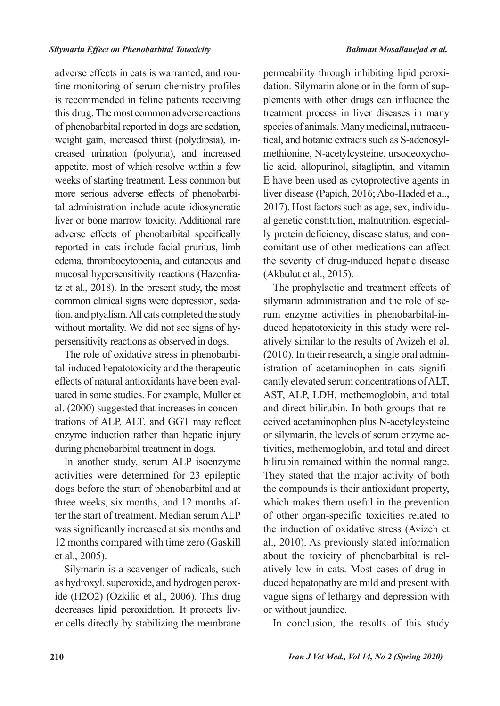tine monitoring of serum chemistry profiles adverse effects in cats is warranted, and rouis recommended in feline patients receiving this drug. The most common adverse reactions of phenobarbital reported in dogs are sedation, creased urination (polyuria), and increased weight gain, increased thirst (polydipsia), inappetite, most of which resolve within a few weeks of starting treatment. Less common but tal administration include acute idiosyncratic more serious adverse effects of phenobarbiliver or bone marrow toxicity. Additional rare adverse effects of phenobarbital specifically reported in cats include facial pruritus, limb edema, thrombocytopenia, and cutaneous and tz et al.,  $2018$ ). In the present study, the most mucosal hypersensitivity reactions (Hazenfration, and ptyalism. All cats completed the study common clinical signs were depression, sedapersensitivity reactions as observed in dogs. without mortality. We did not see signs of hy-

tal-induced hepatotoxicity and the therapeutic The role of oxidative stress in phenobarbiuated in some studies. For example, Muller et effects of natural antioxidants have been evaltrations of ALP, ALT, and GGT may reflect al.  $(2000)$  suggested that increases in concenenzyme induction rather than hepatic injury during phenobarbital treatment in dogs.

In another study, serum ALP isoenzyme activities were determined for 23 epileptic dogs before the start of phenobarbital and at ter the start of treatment. Median serum ALP three weeks six months and  $12$  months afwas significantly increased at six months and 12 months compared with time zero (Gaskill  $et al., 2005$ .

Silymarin is a scavenger of radicals, such ide  $(H2O2)$  (Ozkilic et al., 2006). This drug as hydroxyl, superoxide, and hydrogen peroxer cells directly by stabilizing the membrane decreases lipid peroxidation. It protects liv-

plements with other drugs can influence the dation. Silymarin alone or in the form of suppermeability through inhibiting lipid peroxitreatment process in liver diseases in many lic acid, allopurinol, sitagliptin, and vitamin methionine, N-acetylcysteine, ursodeoxychotical, and botanic extracts such as S-adenosylspecies of animals. Many medicinal, nutraceu-E have been used as cytoprotective agents in liver disease (Papich, 2016; Abo-Haded et al., comitant use of other medications can affect ly protein deficiency, disease status, and conal genetic constitution, malnutrition, especial-2017). Host factors such as age, sex, individuthe severity of drug-induced hepatic disease  $(Akbulut et al., 2015).$ 

The prophylactic and treatment effects of atively similar to the results of Avizeh et al. duced hepatotoxicity in this study were relrum enzyme activities in phenobarbital-insilymarin administration and the role of secantly elevated serum concentrations of ALT. istration of acetaminophen in cats signifi- $(2010)$ . In their research, a single oral admin-AST, ALP, LDH, methemoglobin, and total ceived acetaminophen plus N-acetylcysteine and direct bilirubin. In both groups that retivities, methemoglobin, and total and direct or silymarin, the levels of serum enzyme acbilirubin remained within the normal range. They stated that the major activity of both the compounds is their antioxidant property, which makes them useful in the prevention of other organ-specific toxicities related to the induction of oxidative stress (Avizeh et al., 2010). As previously stated information atively low in cats. Most cases of drug-in-<br>duced hepatopathy are mild and present with about the toxicity of phenobarbital is relatively low in cats. Most cases of drug-invague signs of lethargy and depression with or without jaundice.

In conclusion, the results of this study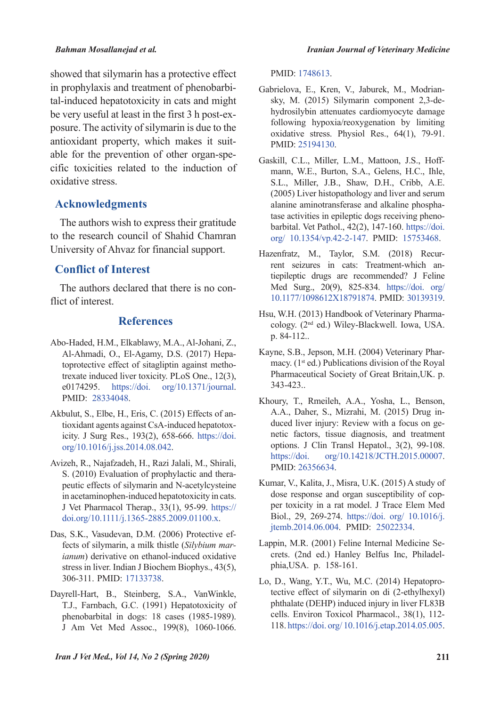#### *Bahman Mosallanejad et al.*

showed that silymarin has a protective effect tal-induced hepatotoxicity in cats and might in prophylaxis and treatment of phenobarbiposure. The activity of silymarin is due to the be very useful at least in the first 3 h post-excific toxicities related to the induction of able for the prevention of other organ-speantioxidant property, which makes it suitoxidative stress.

## **Acknowledgments**

The authors wish to express their gratitude to the research council of Shahid Chamran University of Ahvaz for financial support.

# **Conflict of Interest**

The authors declared that there is no con-<br>flict of interest.

### **References**

- Abo-Haded, H.M., Elkablawy, M.A., Al-Johani, Z., trexate induced liver toxicity. PLoS One.,  $12(3)$ , toprotective effect of sitagliptin against metho-Al-Ahmadi, O., El-Agamy, D.S. (2017) Hepa-e0174295[.]( https://doi. org/10.1371/journal) https://doi.  $org/10.1371/journal.$ PMID: [28334048](https://pubmed.ncbi.nlm.nih.gov/28334048/).
- icity. J Surg Res., 193(2), 658-666. https://doi. tioxidant agents against CsA-induced hepatotox-Akbulut, S., Elbe, H., Eris, C. (2015) Effects of anorg/10.1016/j.jss.2014.08.042.
- Avizeh, R., Najafzadeh, H., Razi Jalali, M., Shirali, peutic effects of silymarin and N-acetylcysteine S. (2010) Evaluation of prophylactic and therain acetaminophen-induced hepatotoxicity in cats. J Vet Pharmacol Therap., 33(1), 95-99. https:// doi.org/10.1111/j.1365-2885.2009.01100.x.
- *ianum*) derivative on ethanol-induced oxidative fects of silymarin, a milk thistle (Silybium mar-Das, S.K., Vasudevan, D.M. (2006) Protective efstress in liver. Indian J Biochem Biophys., 43(5). 306-311. PMID: [17133738](https://pubmed.ncbi.nlm.nih.gov/17133738/).
- Dayrell-Hart, B., Steinberg, S.A., VanWinkle, T.J., Farnbach, G.C. (1991) Hepatotoxicity of phenobarbital in dogs: 18 cases (1985-1989). J Am Vet Med Assoc., 199(8), 1060-1066.

PMID: [1748613](https://pubmed.ncbi.nlm.nih.gov/1748613/).

- hydrosilybin attenuates cardiomyocyte damage sky, M.  $(2015)$  Silymarin component 2,3-de-Gabrielova, E., Kren, V., Jaburek, M., Modrianfollowing hypoxia/reoxygenation by limiting oxidative stress. Physiol Res.,  $64(1)$ ,  $79-91$ . PMID: [25194130](https://pubmed.ncbi.nlm.nih.gov/25194130/).
- mann, W.E., Burton, S.A., Gelens, H.C., Ihle, Gaskill, C.L., Miller, L.M., Mattoon, J.S., Hoff-S.L., Miller, J.B., Shaw, D.H., Cribb, A.E.  $(2005)$  Liver histopathology and liver and serum barbital. Vet Pathol.,  $42(2)$ ,  $147-160$ . https://doi. tase activities in epileptic dogs receiving phenoalanine aminotransferase and alkaline phospha-org/ 10.1354/vp.42-2-147. PMID: [15753468](https://pubmed.ncbi.nlm.nih.gov/15753468/).
- tiepileptic drugs are recommended? J Feline rent seizures in cats: Treatment-which an-Hazenfratz, M., Taylor, S.M. (2018) Recur-Med Surg., 20(9), 825-834. https://doi. org/ 10.1177/1098612X18791874. PMID: [30139319](https://pubmed.ncbi.nlm.nih.gov/30139319/).
- cology. (2<sup>nd</sup> ed.) Wiley-Blackwell. Iowa, USA. Hsu, W.H. (2013) Handbook of Veterinary Pharma $p. 84-112...$
- macy.  $(1<sup>st</sup> ed.)$  Publications division of the Royal Kayne, S.B., Jepson, M.H. (2004) Veterinary Phar-Pharmaceutical Society of Great Britain, UK. p. 343-423..
- Khoury, T., Rmeileh, A.A., Yosha, L., Benson, netic factors, tissue diagnosis, and treatment duced liver injury: Review with a focus on ge-A.A., Daher, S., Mizrahi, M. (2015) Drug inoptions. J Clin Transl Hepatol.,  $3(2)$ , 99-108. https://doi. org/10.14218/JCTH.2015.00007. PMID: [26356634](https://pubmed.ncbi.nlm.nih.gov/26356634/).
- Kumar, V., Kalita, J., Misra, U.K. (2015) A study of dose response and organ susceptibility of copper toxicity in a rat model. J Trace Elem Med Biol., 29, 269-274. https://doi. org/ 10.1016/j. jtemb.2014.06.004. PMID: [25022334](https://pubmed.ncbi.nlm.nih.gov/25022334/).
- crets. (2nd ed.) Hanley Belfus Inc, Philadel-<br>phia,USA. p. 158-161. ppin, M.R. (2001) Feline Internal Medicine Secrets. (2nd ed.) Hanley Belfus Inc, Philadel-Lappin, M.R. (2001) Feline Internal Medicine Se-
- tective effect of silymarin on di  $(2$ -ethylhexyl) Lo, D., Wang, Y.T., Wu, M.C. (2014) Hepatoprophthalate (DEHP) induced injury in liver FL83B cells. Environ Toxicol Pharmacol., 38(1), 112-118. https://doi.org/10.1016/j.etap.2014.05.005.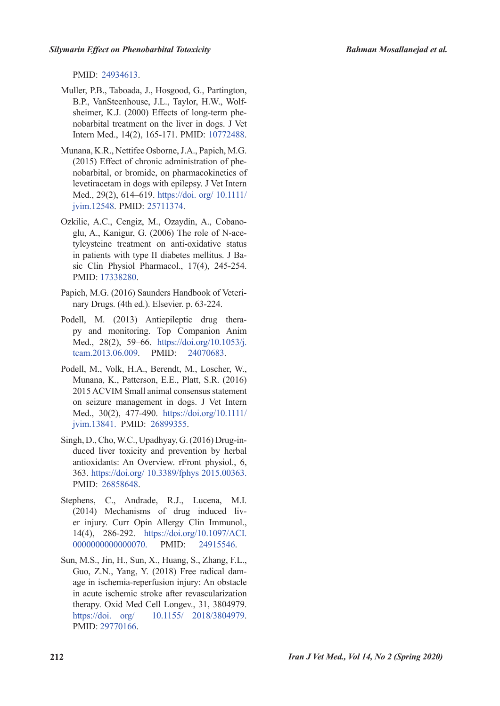PMID: [24934613](https://pubmed.ncbi.nlm.nih.gov/24934613/).

- Muller, P.B., Taboada, J., Hosgood, G., Partington, nobarbital treatment on the liver in dogs. J Vet sheimer, K.J.  $(2000)$  Effects of long-term phe-B.P., VanSteenhouse, J.L., Taylor, H.W., Wolf-Intern Med., 14(2), 165-171. PMID: [10772488](https://pubmed.ncbi.nlm.nih.gov/10772488/).
- Munana, K.R., Nettifee Osborne, J.A., Papich, M.G. nobarbital, or bromide, on pharmacokinetics of  $(2015)$  Effect of chronic administration of phelevetiracetam in dogs with epilepsy. J Vet Intern Med., 29(2), 614–619. https://doi. org/ 10.1111/ jvim.12548. PMID: [25711374](https://pubmed.ncbi.nlm.nih.gov/25711374/).
- tylcysteine treatment on anti-oxidative status glu, A., Kanigur, G.  $(2006)$  The role of N-ace-Ozkilic, A.C., Cengiz, M., Ozaydin, A., Cobanosic Clin Physiol Pharmacol.,  $17(4)$ ,  $245-254$ . in patients with type II diabetes mellitus. J Ba-PMID: [17338280](https://pubmed.ncbi.nlm.nih.gov/17338280/).
- Papich, M.G. (2016) Saunders Handbook of Veterinary Drugs. (4th ed.). Elsevier. p. 63-224.
- py and monitoring. Top Companion Anim Podell, M. (2013) Antiepileptic drug thera-Med., 28(2), 59-66. https://doi.org/10.1053/j. tcam.2013.06.009. PMID: [24070683](https://pubmed.ncbi.nlm.nih.gov/24070683/).
- Podell, M., Volk, H.A., Berendt, M., Loscher, W., Munana, K., Patterson, E.E., Platt, S.R. (2016). 2015 ACVIM Small animal consensus statement on seizure management in dogs. J Vet Intern Med., 30(2), 477-490. https://doi.org/10.1111/ jvim.13841. PMID: [26899355](https://pubmed.ncbi.nlm.nih.gov/26899355/).
- duced liver toxicity and prevention by herbal Singh, D., Cho, W.C., Upadhyay, G. (2016) Drug-inantioxidants: An Overview. rFront physiol., 6, 363. https://doi.org/ 10.3389/fphys 2015.00363. PMID: [26858648](https://pubmed.ncbi.nlm.nih.gov/26858648/).
- Stephens, C., Andrade, R.J., Lucena, M.I. er injury. Curr Opin Allergy Clin Immunol.,  $(2014)$  Mechanisms of drug induced liv-14(4), 286-292. https://doi.org/10.1097/ACI. 0000000000000000070. PMID: [24915546](https://pubmed.ncbi.nlm.nih.gov/24915546/).
- Sun, M.S., Jin, H., Sun, X., Huang, S., Zhang, F.L., age in ischemia-reperfusion injury: An obstacle Guo, Z.N., Yang, Y. (2018) Free radical damin acute ischemic stroke after revascularization therapy. Oxid Med Cell Longev., 31, 3804979. https://doi. org/ 10.1155/ 2018/3804979. PMID: [29770166](https://pubmed.ncbi.nlm.nih.gov/29770166/).